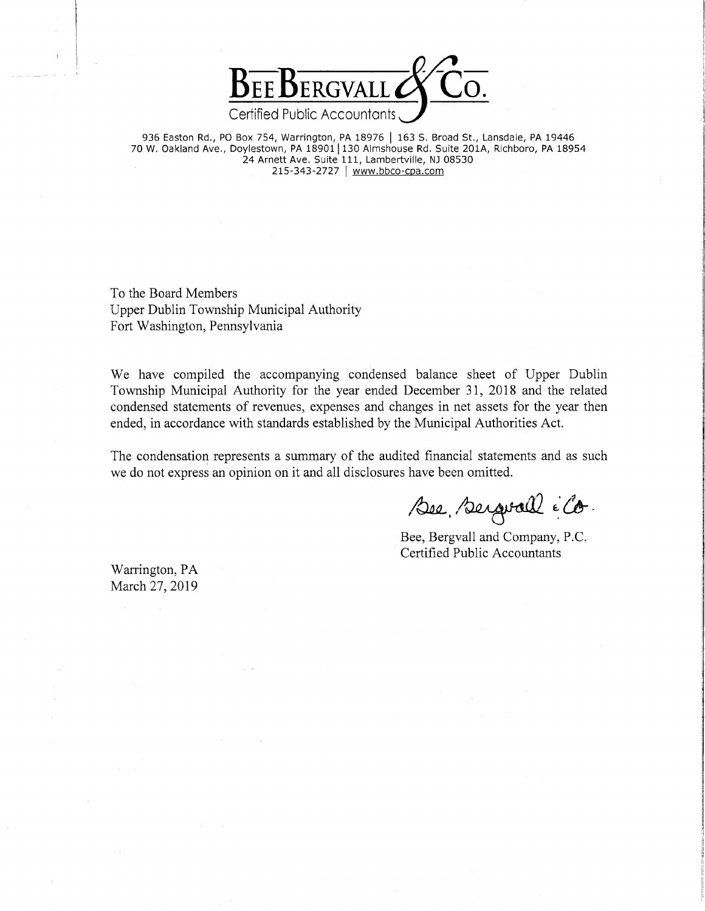

936 Easton Rd., PO Box 754, Warrington, PA 18976 | 163 S. Broad St., Lansdale, PA 19446 70 W. Oakland Ave., Doylestown, PA 18901 | 130 Almshouse Rd. Suite 201A, Richboro, PA 18954 24 Arnett Ave. Suite 111, Lambertville, NJ 08530 215-343-2727 | www.bbco-cpa.com

To the Board Members Upper Dublin Township Municipal Authority Fort Washington, Pennsylvania

We have compiled the accompanying condensed balance sheet of Upper Dublin Township Municipal Authority for the year ended December 31, 2018 and the related condensed statements of revenues, expenses and changes in net assets for the year then ended, in accordance with standards established by the Municipal Authorities Act.

The condensation represents a summary of the audited financial statements and as such we do not express an opinion on it and all disclosures have been omitted.

Bee, Bergrall é Co.

Bee, Bergvall and Company, P.C. Certified Public Accountants

Warrington, PA March 27, 2019